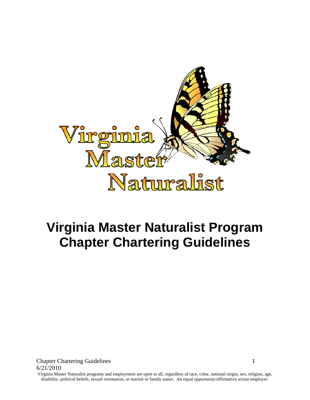

# **Virginia Master Naturalist Program Chapter Chartering Guidelines**

**Chapter Chartering Guidelines** 1 6/21/2010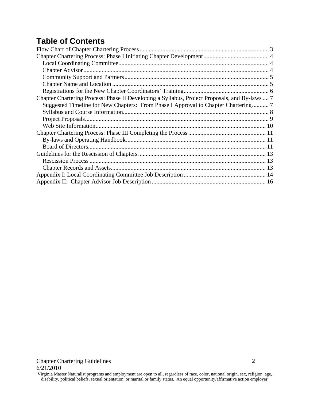# **Table of Contents**

| Chapter Chartering Process: Phase II Developing a Syllabus, Project Proposals, and By-laws  7 |  |
|-----------------------------------------------------------------------------------------------|--|
| Suggested Timeline for New Chapters: From Phase I Approval to Chapter Chartering 7            |  |
|                                                                                               |  |
|                                                                                               |  |
|                                                                                               |  |
|                                                                                               |  |
|                                                                                               |  |
|                                                                                               |  |
|                                                                                               |  |
|                                                                                               |  |
|                                                                                               |  |
|                                                                                               |  |
|                                                                                               |  |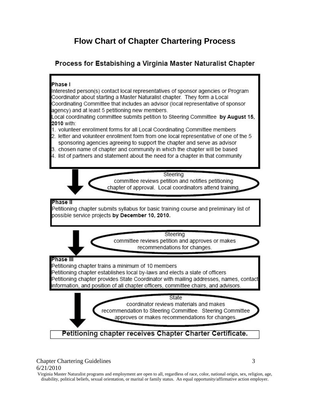# **Flow Chart of Chapter Chartering Process**

# <span id="page-2-0"></span>Process for Estabishing a Virginia Master Naturalist Chapter

#### Phase I

Interested person(s) contact local representatives of sponsor agencies or Program Coordinator about starting a Master Naturalist chapter. They form a Local Coordinating Committee that includes an advisor (local representative of sponsor agency) and at least 5 petitioning new members.

Local coordinating committee submits petition to Steering Committee by August 15, 2010 with:

- 1. volunteer enrollment forms for all Local Coordinating Committee members
- 2. letter and volunteer enrollment form from one local representative of one of the 5 sponsoring agencies agreeing to support the chapter and serve as advisor
- 3. chosen name of chapter and community in which the chapter will be based
- 4. list of partners and statement about the need for a chapter in that community

Steering

committee reviews petition and notifies petitioning chapter of approval. Local coordinators attend training.

#### Phase II

Petitioning chapter submits syllabus for basic training course and preliminary list of possible service projects by December 10, 2010.

> Steering committee reviews petition and approves or makes recommendations for changes.

#### Phase III

Petitioning chapter trains a minimum of 10 members

Petitioning chapter establishes local by-laws and elects a slate of officers Petitioning chapter provides State Coordinator with mailing addresses, names, contact nformation, and position of all chapter officers, committee chairs, and advisors.

> State coordinator reviews materials and makes recommendation to Steering Committee. Steering Committee approves or makes recommendations for changes.

Petitioning chapter receives Chapter Charter Certificate.

### Chapter Chartering Guidelines 3 6/21/2010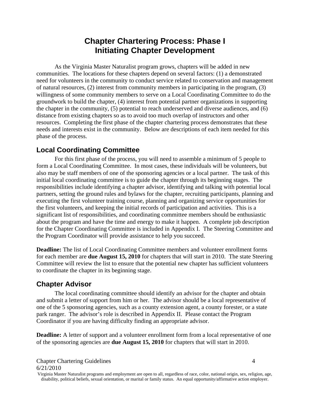# **Chapter Chartering Process: Phase I Initiating Chapter Development**

<span id="page-3-0"></span>As the Virginia Master Naturalist program grows, chapters will be added in new communities. The locations for these chapters depend on several factors: (1) a demonstrated need for volunteers in the community to conduct service related to conservation and management of natural resources, (2) interest from community members in participating in the program, (3) willingness of some community members to serve on a Local Coordinating Committee to do the groundwork to build the chapter, (4) interest from potential partner organizations in supporting the chapter in the community, (5) potential to reach underserved and diverse audiences, and (6) distance from existing chapters so as to avoid too much overlap of instructors and other resources. Completing the first phase of the chapter chartering process demonstrates that these needs and interests exist in the community. Below are descriptions of each item needed for this phase of the process.

### <span id="page-3-1"></span>**Local Coordinating Committee**

For this first phase of the process, you will need to assemble a minimum of 5 people to form a Local Coordinating Committee. In most cases, these individuals will be volunteers, but also may be staff members of one of the sponsoring agencies or a local partner. The task of this initial local coordinating committee is to guide the chapter through its beginning stages. The responsibilities include identifying a chapter advisor, identifying and talking with potential local partners, setting the ground rules and bylaws for the chapter, recruiting participants, planning and executing the first volunteer training course, planning and organizing service opportunities for the first volunteers, and keeping the initial records of participation and activities. This is a significant list of responsibilities, and coordinating committee members should be enthusiastic about the program and have the time and energy to make it happen. A complete job description for the Chapter Coordinating Committee is included in Appendix I. The Steering Committee and the Program Coordinator will provide assistance to help you succeed.

**Deadline:** The list of Local Coordinating Committee members and volunteer enrollment forms for each member are **due August 15, 2010** for chapters that will start in 2010. The state Steering Committee will review the list to ensure that the potential new chapter has sufficient volunteers to coordinate the chapter in its beginning stage.

#### <span id="page-3-2"></span>**Chapter Advisor**

The local coordinating committee should identify an advisor for the chapter and obtain and submit a letter of support from him or her. The advisor should be a local representative of one of the 5 sponsoring agencies, such as a county extension agent, a county forester, or a state park ranger. The advisor's role is described in Appendix II. Please contact the Program Coordinator if you are having difficulty finding an appropriate advisor.

**Deadline:** A letter of support and a volunteer enrollment form from a local representative of one of the sponsoring agencies are **due August 15, 2010** for chapters that will start in 2010.

Chapter Chartering Guidelines 4 6/21/2010

Virginia Master Naturalist programs and employment are open to all, regardless of race, color, national origin, sex, religion, age, disability, political beliefs, sexual orientation, or marital or family status. An equal opportunity/affirmative action employer.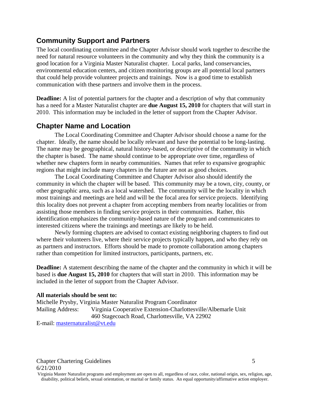### <span id="page-4-0"></span>**Community Support and Partners**

The local coordinating committee and the Chapter Advisor should work together to describe the need for natural resource volunteers in the community and why they think the community is a good location for a Virginia Master Naturalist chapter. Local parks, land conservancies, environmental education centers, and citizen monitoring groups are all potential local partners that could help provide volunteer projects and trainings. Now is a good time to establish communication with these partners and involve them in the process.

**Deadline:** A list of potential partners for the chapter and a description of why that community has a need for a Master Naturalist chapter are **due August 15, 2010** for chapters that will start in 2010. This information may be included in the letter of support from the Chapter Advisor.

#### <span id="page-4-1"></span>**Chapter Name and Location**

The Local Coordinating Committee and Chapter Advisor should choose a name for the chapter. Ideally, the name should be locally relevant and have the potential to be long-lasting. The name may be geographical, natural history-based, or descriptive of the community in which the chapter is based. The name should continue to be appropriate over time, regardless of whether new chapters form in nearby communities. Names that refer to expansive geographic regions that might include many chapters in the future are not as good choices.

The Local Coordinating Committee and Chapter Advisor also should identify the community in which the chapter will be based. This community may be a town, city, county, or other geographic area, such as a local watershed. The community will be the locality in which most trainings and meetings are held and will be the focal area for service projects. Identifying this locality does not prevent a chapter from accepting members from nearby localities or from assisting those members in finding service projects in their communities. Rather, this identification emphasizes the community-based nature of the program and communicates to interested citizens where the trainings and meetings are likely to be held.

Newly forming chapters are advised to contact existing neighboring chapters to find out where their volunteers live, where their service projects typically happen, and who they rely on as partners and instructors. Efforts should be made to promote collaboration among chapters rather than competition for limited instructors, participants, partners, etc.

**Deadline:** A statement describing the name of the chapter and the community in which it will be based is **due August 15, 2010** for chapters that will start in 2010. This information may be included in the letter of support from the Chapter Advisor.

#### **All materials should be sent to:**

Michelle Prysby, Virginia Master Naturalist Program Coordinator Mailing Address: Virginia Cooperative Extension-Charlottesville/Albemarle Unit 460 Stagecoach Road, Charlottesville, VA 22902 E-mail: [masternaturalist@vt.edu](mailto:masternaturalist@vt.edu)

Chapter Chartering Guidelines 5 6/21/2010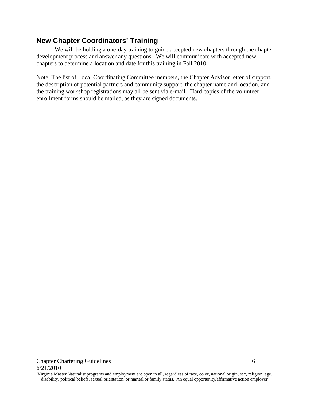### <span id="page-5-0"></span>**New Chapter Coordinators' Training**

We will be holding a one-day training to guide accepted new chapters through the chapter development process and answer any questions. We will communicate with accepted new chapters to determine a location and date for this training in Fall 2010.

Note: The list of Local Coordinating Committee members, the Chapter Advisor letter of support, the description of potential partners and community support, the chapter name and location, and the training workshop registrations may all be sent via e-mail. Hard copies of the volunteer enrollment forms should be mailed, as they are signed documents.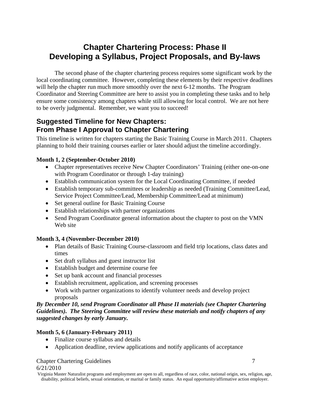# <span id="page-6-0"></span>**Chapter Chartering Process: Phase II Developing a Syllabus, Project Proposals, and By-laws**

The second phase of the chapter chartering process requires some significant work by the local coordinating committee. However, completing these elements by their respective deadlines will help the chapter run much more smoothly over the next 6-12 months. The Program Coordinator and Steering Committee are here to assist you in completing these tasks and to help ensure some consistency among chapters while still allowing for local control. We are not here to be overly judgmental. Remember, we want you to succeed!

# <span id="page-6-1"></span>**Suggested Timeline for New Chapters: From Phase I Approval to Chapter Chartering**

This timeline is written for chapters starting the Basic Training Course in March 2011. Chapters planning to hold their training courses earlier or later should adjust the timeline accordingly.

#### **Month 1, 2 (September-October 2010)**

- Chapter representatives receive New Chapter Coordinators' Training (either one-on-one with Program Coordinator or through 1-day training)
- Establish communication system for the Local Coordinating Committee, if needed
- Establish temporary sub-committees or leadership as needed (Training Committee/Lead, Service Project Committee/Lead, Membership Committee/Lead at minimum)
- Set general outline for Basic Training Course
- Establish relationships with partner organizations
- Send Program Coordinator general information about the chapter to post on the VMN Web site

#### **Month 3, 4 (November-December 2010)**

- Plan details of Basic Training Course-classroom and field trip locations, class dates and times
- Set draft syllabus and guest instructor list
- Establish budget and determine course fee
- Set up bank account and financial processes
- Establish recruitment, application, and screening processes
- Work with partner organizations to identify volunteer needs and develop project proposals

*By December 10, send Program Coordinator all Phase II materials (see Chapter Chartering Guidelines). The Steering Committee will review these materials and notify chapters of any suggested changes by early January.* 

#### **Month 5, 6 (January-February 2011)**

- Finalize course syllabus and details
- Application deadline, review applications and notify applicants of acceptance

#### **Chapter Chartering Guidelines** 7

6/21/2010

Virginia Master Naturalist programs and employment are open to all, regardless of race, color, national origin, sex, religion, age, disability, political beliefs, sexual orientation, or marital or family status. An equal opportunity/affirmative action employer.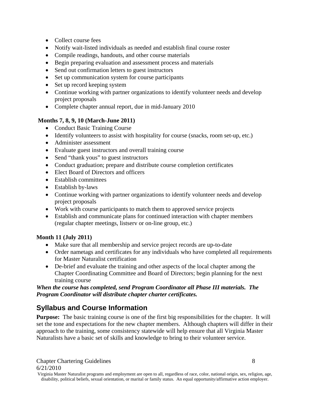- Collect course fees
- Notify wait-listed individuals as needed and establish final course roster
- Compile readings, handouts, and other course materials
- Begin preparing evaluation and assessment process and materials
- Send out confirmation letters to guest instructors
- Set up communication system for course participants
- Set up record keeping system
- Continue working with partner organizations to identify volunteer needs and develop project proposals
- Complete chapter annual report, due in mid-January 2010

#### **Months 7, 8, 9, 10 (March-June 2011)**

- Conduct Basic Training Course
- Identify volunteers to assist with hospitality for course (snacks, room set-up, etc.)
- Administer assessment
- Evaluate guest instructors and overall training course
- Send "thank yous" to guest instructors
- Conduct graduation; prepare and distribute course completion certificates
- Elect Board of Directors and officers
- Establish committees
- Establish by-laws
- Continue working with partner organizations to identify volunteer needs and develop project proposals
- Work with course participants to match them to approved service projects
- Establish and communicate plans for continued interaction with chapter members (regular chapter meetings, listserv or on-line group, etc.)

#### **Month 11 (July 2011)**

- Make sure that all membership and service project records are up-to-date
- Order nametags and certificates for any individuals who have completed all requirements for Master Naturalist certification
- De-brief and evaluate the training and other aspects of the local chapter among the Chapter Coordinating Committee and Board of Directors; begin planning for the next training course

*When the course has completed, send Program Coordinator all Phase III materials. The Program Coordinator will distribute chapter charter certificates.*

# <span id="page-7-0"></span>**Syllabus and Course Information**

**Purpose:** The basic training course is one of the first big responsibilities for the chapter. It will set the tone and expectations for the new chapter members. Although chapters will differ in their approach to the training, some consistency statewide will help ensure that all Virginia Master Naturalists have a basic set of skills and knowledge to bring to their volunteer service.

Virginia Master Naturalist programs and employment are open to all, regardless of race, color, national origin, sex, religion, age, disability, political beliefs, sexual orientation, or marital or family status. An equal opportunity/affirmative action employer.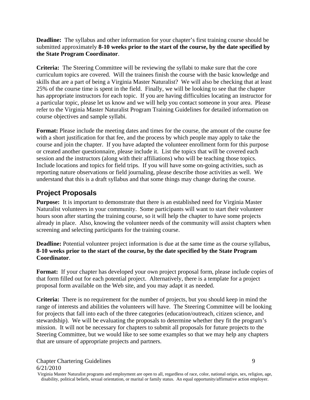**Deadline:** The syllabus and other information for your chapter's first training course should be submitted approximately **8-10 weeks prior to the start of the course, by the date specified by the State Program Coordinator**.

**Criteria:** The Steering Committee will be reviewing the syllabi to make sure that the core curriculum topics are covered. Will the trainees finish the course with the basic knowledge and skills that are a part of being a Virginia Master Naturalist? We will also be checking that at least 25% of the course time is spent in the field. Finally, we will be looking to see that the chapter has appropriate instructors for each topic. If you are having difficulties locating an instructor for a particular topic, please let us know and we will help you contact someone in your area. Please refer to the Virginia Master Naturalist Program Training Guidelines for detailed information on course objectives and sample syllabi.

Format: Please include the meeting dates and times for the course, the amount of the course fee with a short justification for that fee, and the process by which people may apply to take the course and join the chapter. If you have adapted the volunteer enrollment form for this purpose or created another questionnaire, please include it. List the topics that will be covered each session and the instructors (along with their affiliations) who will be teaching those topics. Include locations and topics for field trips. If you will have some on-going activities, such as reporting nature observations or field journaling, please describe those activities as well. We understand that this is a draft syllabus and that some things may change during the course.

# <span id="page-8-0"></span>**Project Proposals**

**Purpose:** It is important to demonstrate that there is an established need for Virginia Master Naturalist volunteers in your community. Some participants will want to start their volunteer hours soon after starting the training course, so it will help the chapter to have some projects already in place. Also, knowing the volunteer needs of the community will assist chapters when screening and selecting participants for the training course.

**Deadline:** Potential volunteer project information is due at the same time as the course syllabus, **8-10 weeks prior to the start of the course, by the date specified by the State Program Coordinator**.

**Format:** If your chapter has developed your own project proposal form, please include copies of that form filled out for each potential project. Alternatively, there is a template for a project proposal form available on the Web site, and you may adapt it as needed.

**Criteria:** There is no requirement for the number of projects, but you should keep in mind the range of interests and abilities the volunteers will have. The Steering Committee will be looking for projects that fall into each of the three categories (education/outreach, citizen science, and stewardship). We will be evaluating the proposals to determine whether they fit the program's mission. It will not be necessary for chapters to submit all proposals for future projects to the Steering Committee, but we would like to see some examples so that we may help any chapters that are unsure of appropriate projects and partners.

Virginia Master Naturalist programs and employment are open to all, regardless of race, color, national origin, sex, religion, age, disability, political beliefs, sexual orientation, or marital or family status. An equal opportunity/affirmative action employer.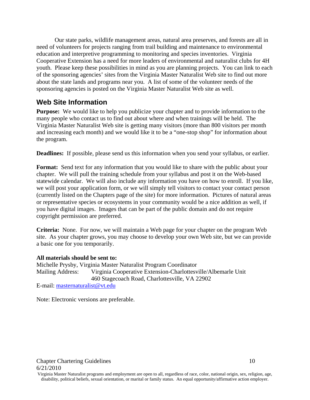Our state parks, wildlife management areas, natural area preserves, and forests are all in need of volunteers for projects ranging from trail building and maintenance to environmental education and interpretive programming to monitoring and species inventories. Virginia Cooperative Extension has a need for more leaders of environmental and naturalist clubs for 4H youth. Please keep these possibilities in mind as you are planning projects. You can link to each of the sponsoring agencies' sites from the Virginia Master Naturalist Web site to find out more about the state lands and programs near you. A list of some of the volunteer needs of the sponsoring agencies is posted on the Virginia Master Naturalist Web site as well.

### <span id="page-9-0"></span>**Web Site Information**

**Purpose:** We would like to help you publicize your chapter and to provide information to the many people who contact us to find out about where and when trainings will be held. The Virginia Master Naturalist Web site is getting many visitors (more than 800 visitors per month and increasing each month) and we would like it to be a "one-stop shop" for information about the program.

**Deadlines:** If possible, please send us this information when you send your syllabus, or earlier.

**Format:** Send text for any information that you would like to share with the public about your chapter. We will pull the training schedule from your syllabus and post it on the Web-based statewide calendar. We will also include any information you have on how to enroll. If you like, we will post your application form, or we will simply tell visitors to contact your contact person (currently listed on the Chapters page of the site) for more information. Pictures of natural areas or representative species or ecosystems in your community would be a nice addition as well, if you have digital images. Images that can be part of the public domain and do not require copyright permission are preferred.

**Criteria:** None. For now, we will maintain a Web page for your chapter on the program Web site. As your chapter grows, you may choose to develop your own Web site, but we can provide a basic one for you temporarily.

#### **All materials should be sent to:**

Michelle Prysby, Virginia Master Naturalist Program Coordinator Mailing Address: Virginia Cooperative Extension-Charlottesville/Albemarle Unit 460 Stagecoach Road, Charlottesville, VA 22902 E-mail: [masternaturalist@vt.edu](mailto:masternaturalist@vt.edu)

Note: Electronic versions are preferable.

Virginia Master Naturalist programs and employment are open to all, regardless of race, color, national origin, sex, religion, age, disability, political beliefs, sexual orientation, or marital or family status. An equal opportunity/affirmative action employer.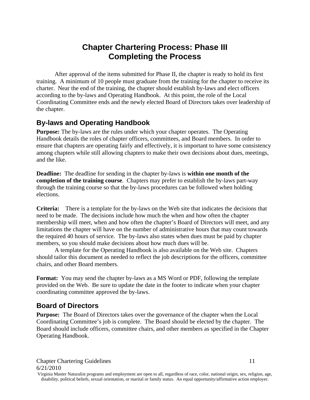# **Chapter Chartering Process: Phase III Completing the Process**

<span id="page-10-0"></span>After approval of the items submitted for Phase II, the chapter is ready to hold its first training. A minimum of 10 people must graduate from the training for the chapter to receive its charter. Near the end of the training, the chapter should establish by-laws and elect officers according to the by-laws and Operating Handbook. At this point, the role of the Local Coordinating Committee ends and the newly elected Board of Directors takes over leadership of the chapter.

## <span id="page-10-1"></span>**By-laws and Operating Handbook**

Purpose: The by-laws are the rules under which your chapter operates. The Operating Handbook details the roles of chapter officers, committees, and Board members. In order to ensure that chapters are operating fairly and effectively, it is important to have some consistency among chapters while still allowing chapters to make their own decisions about dues, meetings, and the like.

**Deadline:** The deadline for sending in the chapter by-laws is **within one month of the completion of the training course**. Chapters may prefer to establish the by-laws part-way through the training course so that the by-laws procedures can be followed when holding elections.

**Criteria:** There is a template for the by-laws on the Web site that indicates the decisions that need to be made. The decisions include how much the when and how often the chapter membership will meet, when and how often the chapter's Board of Directors will meet, and any limitations the chapter will have on the number of administrative hours that may count towards the required 40 hours of service. The by-laws also states when dues must be paid by chapter members, so you should make decisions about how much dues will be.

A template for the Operating Handbook is also available on the Web site. Chapters should tailor this document as needed to reflect the job descriptions for the officers, committee chairs, and other Board members.

**Format:** You may send the chapter by-laws as a MS Word or PDF, following the template provided on the Web. Be sure to update the date in the footer to indicate when your chapter coordinating committee approved the by-laws.

### <span id="page-10-2"></span>**Board of Directors**

**Purpose:** The Board of Directors takes over the governance of the chapter when the Local Coordinating Committee's job is complete. The Board should be elected by the chapter. The Board should include officers, committee chairs, and other members as specified in the Chapter Operating Handbook.

Virginia Master Naturalist programs and employment are open to all, regardless of race, color, national origin, sex, religion, age, disability, political beliefs, sexual orientation, or marital or family status. An equal opportunity/affirmative action employer.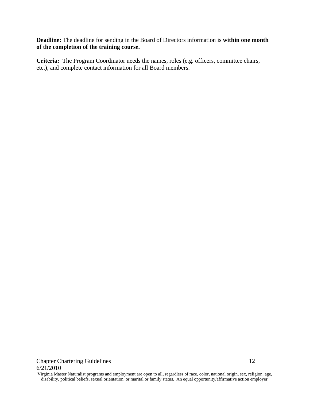**Deadline:** The deadline for sending in the Board of Directors information is **within one month of the completion of the training course.**

**Criteria:** The Program Coordinator needs the names, roles (e.g. officers, committee chairs, etc.), and complete contact information for all Board members.

**Chapter Chartering Guidelines** 12 6/21/2010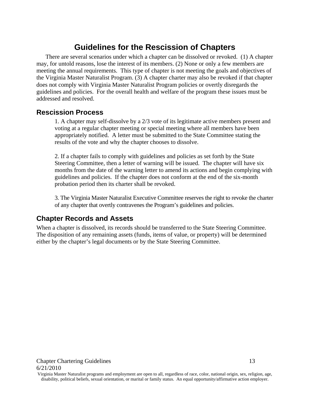# **Guidelines for the Rescission of Chapters**

<span id="page-12-0"></span>There are several scenarios under which a chapter can be dissolved or revoked. (1) A chapter may, for untold reasons, lose the interest of its members. (2) None or only a few members are meeting the annual requirements. This type of chapter is not meeting the goals and objectives of the Virginia Master Naturalist Program. (3) A chapter charter may also be revoked if that chapter does not comply with Virginia Master Naturalist Program policies or overtly disregards the guidelines and policies. For the overall health and welfare of the program these issues must be addressed and resolved.

### <span id="page-12-1"></span>**Rescission Process**

1. A chapter may self-dissolve by a 2/3 vote of its legitimate active members present and voting at a regular chapter meeting or special meeting where all members have been appropriately notified. A letter must be submitted to the State Committee stating the results of the vote and why the chapter chooses to dissolve.

2. If a chapter fails to comply with guidelines and policies as set forth by the State Steering Committee, then a letter of warning will be issued. The chapter will have six months from the date of the warning letter to amend its actions and begin complying with guidelines and policies. If the chapter does not conform at the end of the six-month probation period then its charter shall be revoked.

3. The Virginia Master Naturalist Executive Committee reserves the right to revoke the charter of any chapter that overtly contravenes the Program's guidelines and policies.

## <span id="page-12-2"></span>**Chapter Records and Assets**

When a chapter is dissolved, its records should be transferred to the State Steering Committee. The disposition of any remaining assets (funds, items of value, or property) will be determined either by the chapter's legal documents or by the State Steering Committee.

Virginia Master Naturalist programs and employment are open to all, regardless of race, color, national origin, sex, religion, age, disability, political beliefs, sexual orientation, or marital or family status. An equal opportunity/affirmative action employer.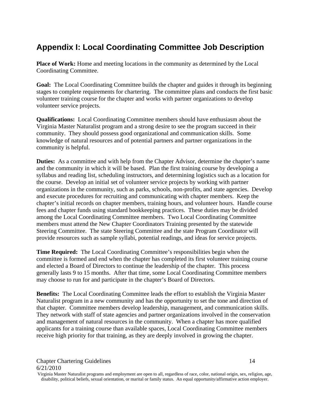# <span id="page-13-0"></span>**Appendix I: Local Coordinating Committee Job Description**

Place of Work: Home and meeting locations in the community as determined by the Local Coordinating Committee.

**Goal:** The Local Coordinating Committee builds the chapter and guides it through its beginning stages to complete requirements for chartering. The committee plans and conducts the first basic volunteer training course for the chapter and works with partner organizations to develop volunteer service projects.

**Qualifications:** Local Coordinating Committee members should have enthusiasm about the Virginia Master Naturalist program and a strong desire to see the program succeed in their community. They should possess good organizational and communication skills. Some knowledge of natural resources and of potential partners and partner organizations in the community is helpful.

**Duties:** As a committee and with help from the Chapter Advisor, determine the chapter's name and the community in which it will be based. Plan the first training course by developing a syllabus and reading list, scheduling instructors, and determining logistics such as a location for the course. Develop an initial set of volunteer service projects by working with partner organizations in the community, such as parks, schools, non-profits, and state agencies. Develop and execute procedures for recruiting and communicating with chapter members. Keep the chapter's initial records on chapter members, training hours, and volunteer hours. Handle course fees and chapter funds using standard bookkeeping practices. These duties may be divided among the Local Coordinating Committee members. Two Local Coordinating Committee members must attend the New Chapter Coordinators Training presented by the statewide Steering Committee. The state Steering Committee and the state Program Coordinator will provide resources such as sample syllabi, potential readings, and ideas for service projects.

**Time Required:** The Local Coordinating Committee's responsibilities begin when the committee is formed and end when the chapter has completed its first volunteer training course and elected a Board of Directors to continue the leadership of the chapter. This process generally lasts 9 to 15 months. After that time, some Local Coordinating Committee members may choose to run for and participate in the chapter's Board of Directors.

**Benefits:** The Local Coordinating Committee leads the effort to establish the Virginia Master Naturalist program in a new community and has the opportunity to set the tone and direction of that chapter. Committee members develop leadership, management, and communication skills. They network with staff of state agencies and partner organizations involved in the conservation and management of natural resources in the community. When a chapter has more qualified applicants for a training course than available spaces, Local Coordinating Committee members receive high priority for that training, as they are deeply involved in growing the chapter.

Virginia Master Naturalist programs and employment are open to all, regardless of race, color, national origin, sex, religion, age, disability, political beliefs, sexual orientation, or marital or family status. An equal opportunity/affirmative action employer.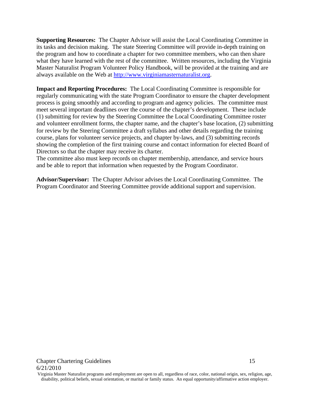**Supporting Resources:** The Chapter Advisor will assist the Local Coordinating Committee in its tasks and decision making. The state Steering Committee will provide in-depth training on the program and how to coordinate a chapter for two committee members, who can then share what they have learned with the rest of the committee. Written resources, including the Virginia Master Naturalist Program Volunteer Policy Handbook, will be provided at the training and are always available on the Web at [http://www.virginiamasternaturalist.org.](http://www.virginiamasternaturalist.org/)

**Impact and Reporting Procedures:** The Local Coordinating Committee is responsible for regularly communicating with the state Program Coordinator to ensure the chapter development process is going smoothly and according to program and agency policies. The committee must meet several important deadlines over the course of the chapter's development. These include (1) submitting for review by the Steering Committee the Local Coordinating Committee roster and volunteer enrollment forms, the chapter name, and the chapter's base location, (2) submitting for review by the Steering Committee a draft syllabus and other details regarding the training course, plans for volunteer service projects, and chapter by-laws, and (3) submitting records showing the completion of the first training course and contact information for elected Board of Directors so that the chapter may receive its charter.

The committee also must keep records on chapter membership, attendance, and service hours and be able to report that information when requested by the Program Coordinator.

**Advisor/Supervisor:** The Chapter Advisor advises the Local Coordinating Committee. The Program Coordinator and Steering Committee provide additional support and supervision.

Virginia Master Naturalist programs and employment are open to all, regardless of race, color, national origin, sex, religion, age, disability, political beliefs, sexual orientation, or marital or family status. An equal opportunity/affirmative action employer.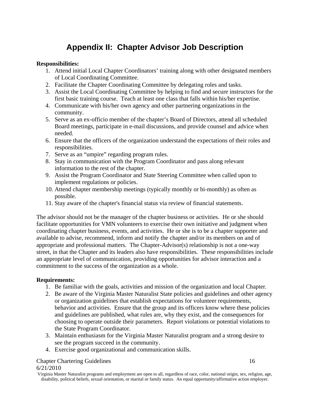# **Appendix II: Chapter Advisor Job Description**

#### <span id="page-15-0"></span>**Responsibilities:**

- 1. Attend initial Local Chapter Coordinators' training along with other designated members of Local Coordinating Committee.
- 2. Facilitate the Chapter Coordinating Committee by delegating roles and tasks.
- 3. Assist the Local Coordinating Committee by helping to find and secure instructors for the first basic training course. Teach at least one class that falls within his/her expertise.
- 4. Communicate with his/her own agency and other partnering organizations in the community.
- 5. Serve as an ex-officio member of the chapter's Board of Directors, attend all scheduled Board meetings, participate in e-mail discussions, and provide counsel and advice when needed.
- 6. Ensure that the officers of the organization understand the expectations of their roles and responsibilities.
- 7. Serve as an "umpire" regarding program rules.
- 8. Stay in communication with the Program Coordinator and pass along relevant information to the rest of the chapter.
- 9. Assist the Program Coordinator and State Steering Committee when called upon to implement regulations or policies.
- 10. Attend chapter membership meetings (typically monthly or bi-monthly) as often as possible.
- 11. Stay aware of the chapter's financial status via review of financial statements.

The advisor should not be the manager of the chapter business or activities. He or she should facilitate opportunities for VMN volunteers to exercise their own initiative and judgment when coordinating chapter business, events, and activities. He or she is to be a chapter supporter and available to advise, recommend, inform and notify the chapter and/or its members on and of appropriate and professional matters. The Chapter-Advisor(s) relationship is not a one-way street, in that the Chapter and its leaders also have responsibilities. These responsibilities include an appropriate level of communication, providing opportunities for advisor interaction and a commitment to the success of the organization as a whole.

#### **Requirements:**

- 1. Be familiar with the goals, activities and mission of the organization and local Chapter.
- 2. Be aware of the Virginia Master Naturalist State policies and guidelines and other agency or organization guidelines that establish expectations for volunteer requirements, behavior and activities. Ensure that the group and its officers know where these policies and guidelines are published, what rules are, why they exist, and the consequences for choosing to operate outside their parameters. Report violations or potential violations to the State Program Coordinator.
- 3. Maintain enthusiasm for the Virginia Master Naturalist program and a strong desire to see the program succeed in the community.
- 4. Exercise good organizational and communication skills.

#### Chapter Chartering Guidelines 16

#### 6/21/2010

Virginia Master Naturalist programs and employment are open to all, regardless of race, color, national origin, sex, religion, age, disability, political beliefs, sexual orientation, or marital or family status. An equal opportunity/affirmative action employer.